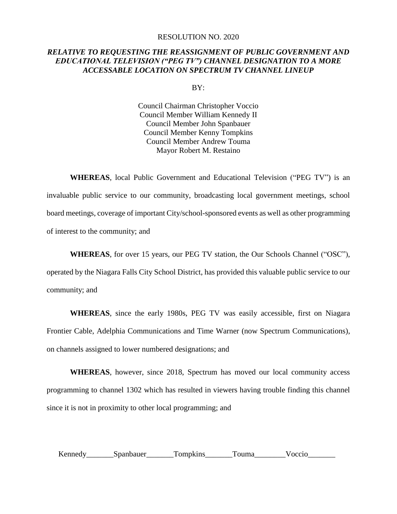## RESOLUTION NO. 2020

## *RELATIVE TO REQUESTING THE REASSIGNMENT OF PUBLIC GOVERNMENT AND EDUCATIONAL TELEVISION ("PEG TV") CHANNEL DESIGNATION TO A MORE ACCESSABLE LOCATION ON SPECTRUM TV CHANNEL LINEUP*

BY:

Council Chairman Christopher Voccio Council Member William Kennedy II Council Member John Spanbauer Council Member Kenny Tompkins Council Member Andrew Touma Mayor Robert M. Restaino

**WHEREAS**, local Public Government and Educational Television ("PEG TV") is an invaluable public service to our community, broadcasting local government meetings, school board meetings, coverage of important City/school-sponsored events as well as other programming of interest to the community; and

**WHEREAS**, for over 15 years, our PEG TV station, the Our Schools Channel ("OSC"), operated by the Niagara Falls City School District, has provided this valuable public service to our community; and

**WHEREAS**, since the early 1980s, PEG TV was easily accessible, first on Niagara Frontier Cable, Adelphia Communications and Time Warner (now Spectrum Communications), on channels assigned to lower numbered designations; and

**WHEREAS**, however, since 2018, Spectrum has moved our local community access programming to channel 1302 which has resulted in viewers having trouble finding this channel since it is not in proximity to other local programming; and

Kennedy Spanbauer Tompkins Touma Voccio